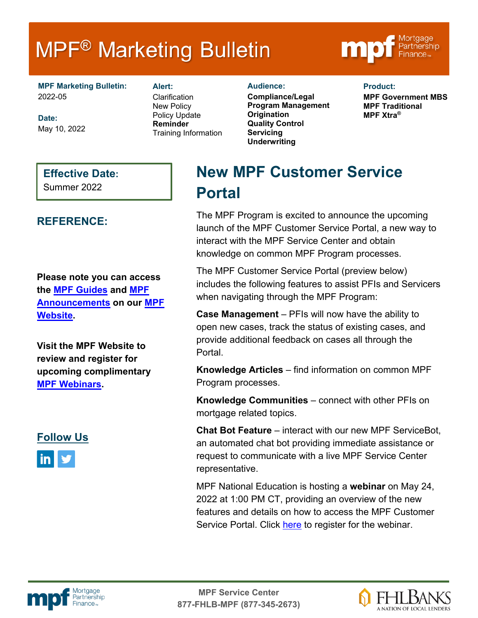# **MPF<sup>®</sup> Marketing Bulletin**



**MPF Marketing Bulletin:** Alert: Audience: 2022-05

**Date:** May 10, 2022 **Alert: Clarification** New Policy Policy Update **Reminder** Training Information

**Compliance/Legal Program Management Origination Quality Control Servicing Underwriting**

**Product:**

**MPF Government MBS MPF Traditional MPF Xtra®**

#### **Effective Date:**

Summer 2022

### **REFERENCE:**

**Please note you can access the [MPF Guides](https://fhlbmpf.com/mpf-guides/guides) and [MPF](https://fhlbmpf.com/mpf-guides/announcements)  [Announcements](https://fhlbmpf.com/mpf-guides/announcements) on our [MPF](https://fhlbmpf.com/)  [Website.](https://fhlbmpf.com/)** 

**Visit the MPF Website to review and register for upcoming complimentary [MPF Webinars.](https://www.fhlbmpf.com/education/upcoming-webinars)**



## **New MPF Customer Service Portal**

The MPF Program is excited to announce the upcoming launch of the MPF Customer Service Portal, a new way to interact with the MPF Service Center and obtain knowledge on common MPF Program processes.

The MPF Customer Service Portal (preview below) includes the following features to assist PFIs and Servicers when navigating through the MPF Program:

**Case Management** – PFIs will now have the ability to open new cases, track the status of existing cases, and provide additional feedback on cases all through the Portal.

**Knowledge Articles** – find information on common MPF Program processes.

**Knowledge Communities** – connect with other PFIs on mortgage related topics.

**Chat Bot Feature** – interact with our new MPF ServiceBot, an automated chat bot providing immediate assistance or request to communicate with a live MPF Service Center representative.

MPF National Education is hosting a **webinar** on May 24, 2022 at 1:00 PM CT, providing an overview of the new features and details on how to access the MPF Customer Service Portal. Click [here](https://www.fhlbmpf.com/education/upcoming-webinars) to register for the webinar.